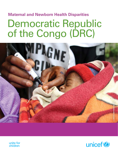### **Maternal and Newborn Health Disparities**

# Democratic Republic of the Congo (DRC)





unite for<br>children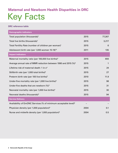## Key Facts **Maternal and Newborn Health Disparities in DRC**

#### **DRC reference table**

| <b>Demographic indicators</b>                                               |      |        |
|-----------------------------------------------------------------------------|------|--------|
| Total population (thousands) <sup>1</sup>                                   | 2015 | 77,267 |
| Total live births (thousands) <sup>1</sup>                                  | 2015 | 3,217  |
| Total Fertility Rate (number of children per woman) <sup>1</sup>            | 2015 | 6      |
| Adolescent birth rate (per 1,000 women 15-19) <sup>10</sup>                 | 2011 | 135    |
| <b>Impact indicators</b>                                                    |      |        |
| Maternal mortality ratio (per 100,000 live births) <sup>4</sup>             | 2015 | 693    |
| Average annual rate of MMR reduction between 1990 and 2015 (%) <sup>5</sup> | 2015 | 1      |
| Lifetime risk of maternal death: 1 in x <sup>4</sup>                        | 2015 | 24     |
| Stillbirth rate (per 1,000 total births) <sup>6</sup>                       | 2015 | 27     |
| Preterm birth rate (per 100 live births)7                                   | 2010 | 11.9   |
| Under-five mortality rate (per 1,000 live births) $3$                       | 2015 | 98     |
| Under-five deaths that are newborn $(%)^3$                                  | 2015 | 31     |
| Neonatal mortality rate (per 1,000 live births) <sup>3</sup>                | 2015 | 30     |
| Neonatal deaths (thousands) <sup>3</sup>                                    | 2015 | 94     |
| <b>Service Delivery</b>                                                     |      |        |
| Availability of EmONC Services (% of minimum acceptable level) <sup>8</sup> |      |        |
| Physician density (per 1,000 population) <sup>9</sup>                       | 2004 | 0.1    |
| Nurse and midwife density (per 1,000 population) <sup>9</sup>               | 2004 | 0.5    |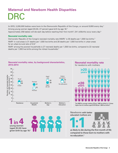### DRC **Maternal and Newborn Health Disparities**

**In 2015, 3,200,000 babies were born in the Democratic Republic of the Congo, or around 8,800 every day.1** Among young women (aged 20-24), 27 percent gave birth by age 18.<sup>2</sup>

Approximately 258 babies will die each day before reaching their first month $^3$ ; 241 stillbirths occur every day. $^6$ 

#### **Neonatal mortality rate:**

Democratic Republic of the Congo's neonatal mortality rate (NMR)<sup>^</sup> is 30 deaths per 1,000 live births.<sup>3</sup> NMR≠ in rural areas is 31 deaths per 1,000 live births and 28 deaths per 1,000 live births in urban areas for an urban-to-rural ratio of 0.9.<sup>2</sup>

NMR≠ among the poorest households is 27 neonatal deaths per 1,000 live births, compared to 22 neonatal deaths per 1,000 live births among the richest households.<sup>2</sup>

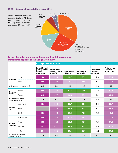### **DRC — Causes of Neonatal Mortality, 2015**





#### **Disparities in key maternal and newborn health interventions, Democratic Republic of the Congo, 2013-20142**

|                                                |                                  | <b>Coverage - care for mothers</b>                                         |                                           |                                                     |                               |                                                    |                                                             |  |  |  |  |
|------------------------------------------------|----------------------------------|----------------------------------------------------------------------------|-------------------------------------------|-----------------------------------------------------|-------------------------------|----------------------------------------------------|-------------------------------------------------------------|--|--|--|--|
|                                                |                                  | <b>Demand for family</b><br>planning satisfied<br>by modern<br>methods (%) | <b>Antenatal care</b><br>$4$ times $(\%)$ | coverage at least Skilled attendant<br>at birth (%) | Institutional<br>delivery (%) | <b>Delivered by</b><br>caesarean<br>section $(\%)$ | <b>Postnatal care</b><br>of mothers<br>within 2 days<br>(%) |  |  |  |  |
|                                                | Urban                            | 24.6                                                                       | 60.7                                      | 93.7                                                | 93.1                          | 7.4                                                | 57.4                                                        |  |  |  |  |
| Residence                                      | Rural                            | 10.8                                                                       | 42.1                                      | 74.1                                                | 74.0                          | 4.1                                                | 37.7                                                        |  |  |  |  |
|                                                | Residence ratio (urban to rural) | 2.3                                                                        | 1.4                                       | 1.3                                                 | 1.3                           | 1.8                                                | 1.5                                                         |  |  |  |  |
| Household<br>Wealth                            | Richest                          | 27.6                                                                       | 67.7                                      | 97.5                                                | 97.6                          | 7.9                                                | 63.4                                                        |  |  |  |  |
|                                                | Poorest                          | 8.0                                                                        | 37.9                                      | 66.3                                                | 65.6                          | 3.1                                                | 35.0                                                        |  |  |  |  |
| Household wealth ratio<br>(richest to poorest) |                                  | 3.5                                                                        | 1.8                                       | 1.5                                                 | 1.5                           | 2.5                                                | 1.8                                                         |  |  |  |  |
| Mother's<br>age                                | Less than 20                     | 12.6                                                                       | 50.8                                      | 80.7                                                | 81.0                          | 5.9                                                | 38.7                                                        |  |  |  |  |
|                                                | $20 - 34$                        |                                                                            | 48.1                                      | 80.6                                                | 80.2                          | 5.1                                                | 44.6                                                        |  |  |  |  |
|                                                | $35 - 49$                        | 16.6                                                                       | 45.1                                      | 77.4                                                | 76.9                          | 4.6                                                | 45.6                                                        |  |  |  |  |
|                                                | No education                     | 10.6                                                                       | 36.6                                      | 67.8                                                | 67.2                          | 4.7                                                | 37.4                                                        |  |  |  |  |
| Mother's<br>education                          | Primary                          | 10.9                                                                       | 42.1                                      | 76.3                                                | 76.1                          | 4.0                                                | 37.4                                                        |  |  |  |  |
|                                                | Secondary                        | 22.2                                                                       | 43.0                                      | 90.4                                                | 90.2                          | 6.5                                                | 52.5                                                        |  |  |  |  |
|                                                | Higher                           | 29.4                                                                       | 59.5                                      | 98.1                                                | 99.7                          | 12.9                                               | 80.3                                                        |  |  |  |  |
| (highest to lowest)                            | Mother's education ratio         | 2.8                                                                        | 1.6                                       | 1.4                                                 | 1.5                           | 2.7                                                | 2.1                                                         |  |  |  |  |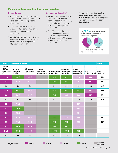#### **Maternal and newborn health coverage indicators**

#### **By residence:2**

- In rural areas, 42 percent of women made at least 4 antenatal care (ANC) visits, compared to 61 percent in urban areas.
- • Coverage of skilled attendance at birth is 74 percent in rural areas, compared to 94 percent in urban areas.
- 6 percent of newborns in rural areas receive postnatal care (PNC) within 2 days after birth, compared to 12 percent in urban areas.

#### **By household wealth:2**

- Most mothers among richest households (68 percent) made at least four ANC visits, compared to 38 percent of mothers from the poorest households.
- Only 66 percent of mothers in the poorest households had a skilled attendant at birth, compared to 98 percent of mothers in the richest households.
- 14 percent of newborns in the richest households receive PNC within 2 days after birth, compared to 6 percent among the poorest households.



| Other<br><b>Coverage - care for newborns</b> |                                                      |                                         |                                                                                |                                      |                               |                                                       |                           |                                             |  |
|----------------------------------------------|------------------------------------------------------|-----------------------------------------|--------------------------------------------------------------------------------|--------------------------------------|-------------------------------|-------------------------------------------------------|---------------------------|---------------------------------------------|--|
| (%)                                          | Newborn<br>weighed at<br>$\frac{1}{2}$ birth $(\% )$ | Early<br>initiation of<br>breastfeeding | Exclusive<br><b>breastfeeding</b> BCG vaccine f<br>(<6 months) (%) newborn (%) | <b>BCG</b> vaccine for 1 vaccination | Pentavalent<br>received (%)** | Tetanus<br>protection for<br>$new \text{borns } (\%)$ | Birth<br>registration (%) | <b>Births by</b><br>age 18 (%) <sup>#</sup> |  |
|                                              | 93.6                                                 | 47.6                                    |                                                                                | 92.1                                 | 92.1                          | 72.6                                                  | 30.0                      | 19.9                                        |  |
|                                              | 67.8                                                 | 53.9                                    |                                                                                | 79.3                                 | 76.1                          | 62.2                                                  | 22.3                      | 31.2                                        |  |
|                                              | 1.4                                                  | 0.9                                     |                                                                                | 1.2                                  | 1.2                           | 1.2                                                   | 1.3                       | 0.6                                         |  |
|                                              | 98.0                                                 | 50.4                                    |                                                                                | 96.0                                 | 96.7                          | 75.3                                                  | 38.4                      | 17.9                                        |  |
|                                              | 58.5                                                 | 51.8                                    |                                                                                | 74.1                                 | 69.3                          | 53.9                                                  | 15.7                      | 35.1                                        |  |
|                                              | 1.7                                                  | 1.0                                     |                                                                                | 1.3                                  | $1.4$                         | 1.4                                                   | 2.4                       | 0.5                                         |  |
|                                              | 74.5                                                 |                                         |                                                                                |                                      |                               | 61.1                                                  |                           |                                             |  |
|                                              | 76.5                                                 |                                         |                                                                                |                                      |                               | 66.8                                                  |                           |                                             |  |
|                                              | 73.5                                                 |                                         |                                                                                |                                      |                               | 64.4                                                  |                           |                                             |  |
|                                              | 62.2                                                 | 55.5                                    |                                                                                | $77.4$                               | 74.3                          | 55.9                                                  |                           | 42.3                                        |  |
|                                              | 71.6                                                 | 53.1                                    |                                                                                | 79.0                                 | 75.6                          | 63.6                                                  |                           | 36.7                                        |  |
|                                              | 86.8                                                 | 49.3                                    |                                                                                | 90.6                                 | 90.1                          | 71.3                                                  |                           |                                             |  |
|                                              | 98.1                                                 | 44.7                                    |                                                                                | (99.4)                               | (99.4)                        | 84.2                                                  |                           |                                             |  |
|                                              | 1.6                                                  | 0.8                                     |                                                                                | 1.3                                  | 1.3                           | 1.5                                                   |                           |                                             |  |
|                                              |                                                      | $\blacksquare$                          | $\Box$                                                                         |                                      | $\mathbf{r}$                  | $\Box$                                                |                           | Data not                                    |  |

**Key for tables:** 0-24 % **25-49 % 25-49 % 50-74 % 75-100 %** 

**available**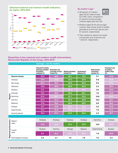#### **Selected maternal and newborn health indicators, by region, 2013-2014 by region, 2013-2014**





- 48 percent of mothers aged 20-34 made at least four ANC visits, compared to 51 percent among younger mothers (aged less than 20).
- Mothers aged 20-34 and younger mothers have similar levels of skilled attendance at birth (81 percent and 81 percent, respectively).
- Their newborns receive low levels of postnatal care: 8 percent and 7 percent, respectively.

### **Disparities in key maternal and newborn health interventions, Democratic Republic of the Congo, 2013-20142**

|                                                                                                 | <b>Coverage - care for mothers</b>                                                        |                                  |                                      |                               |                                                     |                                                             |  |  |  |
|-------------------------------------------------------------------------------------------------|-------------------------------------------------------------------------------------------|----------------------------------|--------------------------------------|-------------------------------|-----------------------------------------------------|-------------------------------------------------------------|--|--|--|
|                                                                                                 | <b>Demand for family</b><br>planning satisfied Antenatal care<br>by modern<br>methods (%) | coverage at least<br>4 times (%) | Skilled attendant<br>at birth $(\%)$ | Institutional<br>delivery (%) | <b>Delivered by</b><br>caesarean<br>section $(\% )$ | <b>Postnatal care</b><br>of mothers<br>within 2 days<br>(%) |  |  |  |
| <b>National estimate</b>                                                                        | 16.3                                                                                      | 48.0                             | 80.1                                 | 79.9                          | 5.1                                                 | 43.8                                                        |  |  |  |
| Kinshasa                                                                                        | 27.9                                                                                      | 73.9                             | 97.4                                 | 97.9                          | 5.9                                                 | 63.8                                                        |  |  |  |
| Bas-Congo                                                                                       | 26.2                                                                                      | 39.0                             | 94.9                                 | 94.2                          | 6.5                                                 | 50.9                                                        |  |  |  |
| Bandundu                                                                                        | 14.9                                                                                      | 46.9                             | 82.8                                 | 84.2                          | 2.3                                                 | 48.3                                                        |  |  |  |
| Équateur                                                                                        | 8.2                                                                                       | 50.8                             | 63.7                                 | 60.2                          | 3.0                                                 | 28.8                                                        |  |  |  |
|                                                                                                 | 13.1                                                                                      | 48.8                             | 85.9                                 | 82.7                          | 7.6                                                 | 34.6                                                        |  |  |  |
| $\frac{5}{2}$ Orientale<br>Nord-Kivu<br>$\frac{2}{2}$ Sud-Kivu                                  | 21.5                                                                                      | 56.7                             | 91.7                                 | 91.6                          | 13.8                                                | 58.4                                                        |  |  |  |
| Sud-Kivu                                                                                        | 22.4                                                                                      | 35.3                             | 92.4                                 | 92.6                          | 10.0                                                | 49.7                                                        |  |  |  |
| Maniema                                                                                         | 17.0                                                                                      | 39.3                             | 86.6                                 | 88.0                          | 9.8                                                 | 46.2                                                        |  |  |  |
| Katanga                                                                                         | 9.7                                                                                       | 43.8                             | 63.7                                 | 63.2                          | 2.0                                                 | 43.9                                                        |  |  |  |
| Kasaï Oriental                                                                                  | 12.2                                                                                      | 42.6                             | 70.2                                 | 72.2                          | 1.9                                                 | 31.3                                                        |  |  |  |
| Kasaï Occidental                                                                                | 15.3                                                                                      | 43.3                             | 82.6                                 | 84.0                          | 3.3                                                 | 45.1                                                        |  |  |  |
|                                                                                                 |                                                                                           |                                  |                                      |                               |                                                     |                                                             |  |  |  |
|                                                                                                 | Kinshasa                                                                                  | Kinshasa                         | Kinshasa                             | Kinshasa                      | Nord-Kivu                                           | Kinshasa                                                    |  |  |  |
| e Highest<br>value<br><b>Lowest</b><br>Lowest                                                   | 27.9                                                                                      | 73.9                             | 97.4                                 | 97.9                          | 13.8                                                | 63.8                                                        |  |  |  |
|                                                                                                 | Équateur                                                                                  | Sud-Kivu                         | Katanga                              | Équateur                      | Kasaï Oriental                                      | Équateur                                                    |  |  |  |
| The Lowest<br>Community<br>Community (highest to lowest)<br>Community Ratio (highest to lowest) | 8.2                                                                                       | 35.3                             | 63.7                                 | 60.2                          | 1.9                                                 | 28.8                                                        |  |  |  |
|                                                                                                 | 3.4                                                                                       | 2.1                              | 1.5                                  | 1.6                           | 7.3                                                 | 2.2                                                         |  |  |  |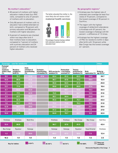#### **By mother's education:2**

- 60 percent of mothers with higher education made at least four ANC visits, compared to only 37 percent of mothers with no education.
- Only 68 percent of mothers with no education had a skilled attendant at birth, compared to 76 percent with primary education and 98 percent for mothers with higher education.
- 6 percent of newborns are checked within two days after birth if their mothers have no education, compared to 7 percent of mothers with a primary education and 24 percent of mothers who received higher education.

The better educated the mother is, the more likely she will receive critical **maternal health services**



Percentage of women having a skilled birth attendant relative to their education level

#### **By geographic regions:2**

- Kinshasa saw the highest rate of antenatal care coverage (at least four visits) of 74 percent, compared to the lowest coverage of 35 percent in Sud-Kivu.
- The region with the highest coverage of skilled birth attendance is Kinshasa with 97 percent; the lowest coverage is Katanga with 64 percent – a difference of 1.5 times.
- Kinshasa has the highest coverage of PNC for newborns (within 2 days after birth) with 19 percent while Bas-Congo has the lowest coverage at 1 percent.

| <b>Other</b><br><b>Coverage - care for newborns</b>                        |                             |                                                |                                                              |                                                     |                              |                                                  |                                  |                                             |
|----------------------------------------------------------------------------|-----------------------------|------------------------------------------------|--------------------------------------------------------------|-----------------------------------------------------|------------------------------|--------------------------------------------------|----------------------------------|---------------------------------------------|
| <b>Postnatal</b><br>care of<br>newborns<br>within 2 days weighed at<br>(%) | <b>Newborn</b><br>birth (%) | Early<br>initiation of<br>breastfeeding<br>(%) | <b>Exclusive</b><br>breastfeeding<br>$(6 months) (\sqrt{6})$ | <b>BCG</b> vaccine for 1 vaccination<br>newborn (%) | Pentavalent<br>received (%)* | <b>Tetanus</b><br>protection for<br>newborns (%) | <b>Birth</b><br>registration (%) | <b>Births by</b><br>age 18 (%) <sup>#</sup> |
| 8.0                                                                        | 75.7                        | 51.9                                           | 47.6                                                         | 83.4                                                | 81.2                         | 65.5                                             | 24.6                             | 26.7                                        |
| 19.4                                                                       | 98.8                        | 51.3                                           |                                                              | 96.7                                                | 97.8                         | $77.2$                                           | 39.4                             | 12.4                                        |
| 1.2                                                                        | 94.0                        | 57.6                                           |                                                              | 95.6                                                | 93.5                         | 81.5                                             | 52.2                             | 25.9                                        |
| 13.1                                                                       | 77.4                        | 54.8                                           |                                                              | 89.8                                                | 87.5                         | 66.6                                             | 37.4                             | 18.4                                        |
| 6.7                                                                        | 53.2                        | 42.0                                           |                                                              | 72.1                                                | 68.7                         | 50.6                                             | 18.3                             | 33.4                                        |
| 2.1                                                                        | $77.1$                      | 42.9                                           |                                                              | 74.5                                                | 70.5                         | 64.7                                             | 18.8                             | 31.6                                        |
| 3.3                                                                        | 87.7                        | $72.1$                                         |                                                              | 95.1                                                | 94.4                         | 67.7                                             | 24.8                             | 21.1                                        |
| 5.7                                                                        | 92.5                        | 54.0                                           |                                                              | 95.6                                                | 95.1                         | 75.7                                             | 29.9                             | 43.4                                        |
| 1.9                                                                        | 83.7                        | 44.5                                           |                                                              | 72.2                                                | 73.8                         | 76.3                                             | 15.5                             | 31.8                                        |
| 12.9                                                                       | 66.1                        | 39.0                                           |                                                              | 69.2                                                | 67.3                         | 60.8                                             | 24.7                             | 30.4                                        |
| 2.7                                                                        | 62.6                        | 60.0                                           |                                                              | 81.3                                                | 82.2                         | 61.7                                             | 7.3                              | 27.9                                        |
| 10.0                                                                       | 77.9                        | 60.1                                           |                                                              | 84.8                                                | 76.7                         | 63.1                                             | 9.0                              | 32.0                                        |
|                                                                            |                             |                                                |                                                              |                                                     |                              |                                                  |                                  |                                             |
| Kinshasa                                                                   | Kinshasa                    | Nord-Kivu                                      |                                                              | Kinshasa                                            | Kinshasa                     | Bas-Congo                                        | Bas-Congo                        | Sud-Kivu                                    |
| 19.4                                                                       | 98.8                        | $72.1$                                         |                                                              | 96.7                                                | 97.8                         | 81.5                                             | 52.2                             | 43.4                                        |
| Bas-Congo                                                                  | Équateur                    | Katanga                                        |                                                              | Katanga                                             | Katanga                      | Équateur                                         | Kasaï Oriental                   | Kinshasa                                    |
| 1.2                                                                        | 53.2                        | 39.0                                           |                                                              | 69.2                                                | 67.3                         | 50.6                                             | 7.3                              | 12.4                                        |
| 16.2                                                                       | 1.9                         | 1.8                                            |                                                              | 1.4                                                 | 1.5                          | 1.6                                              | 7.2                              | 3.5                                         |
|                                                                            |                             | $\overline{\phantom{a}}$                       |                                                              |                                                     | $\mathbf{r}$                 | $\mathcal{L}^{\text{max}}$                       |                                  | Data not                                    |

**Key for tables:** 0-24 % **25-49 % 25-49 % 50-74 % 75-100 %** 

**available**